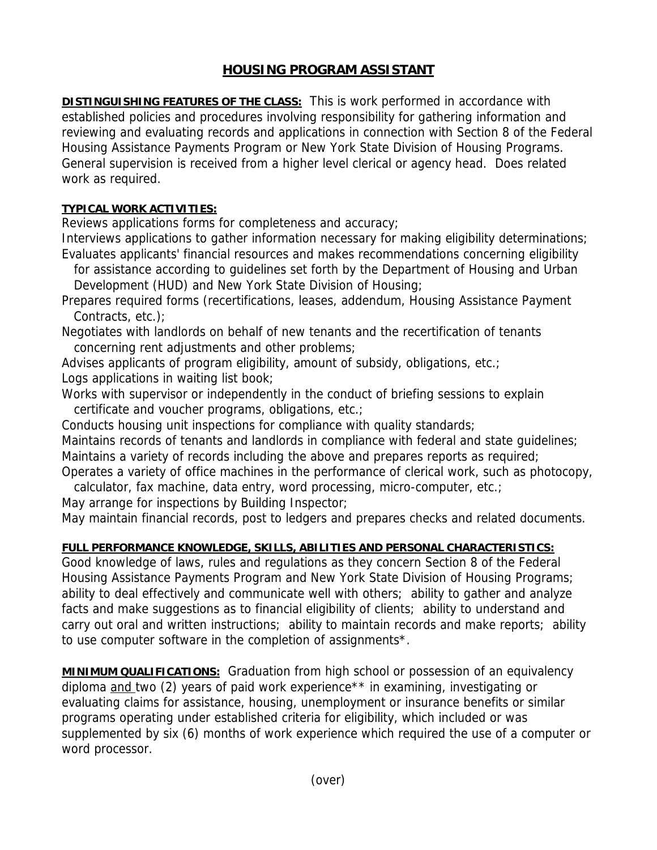## **HOUSING PROGRAM ASSISTANT**

**DISTINGUISHING FEATURES OF THE CLASS:** This is work performed in accordance with established policies and procedures involving responsibility for gathering information and reviewing and evaluating records and applications in connection with Section 8 of the Federal Housing Assistance Payments Program or New York State Division of Housing Programs. General supervision is received from a higher level clerical or agency head. Does related work as required.

## **TYPICAL WORK ACTIVITIES:**

Reviews applications forms for completeness and accuracy;

Interviews applications to gather information necessary for making eligibility determinations; Evaluates applicants' financial resources and makes recommendations concerning eligibility

 for assistance according to guidelines set forth by the Department of Housing and Urban Development (HUD) and New York State Division of Housing;

Prepares required forms (recertifications, leases, addendum, Housing Assistance Payment Contracts, etc.);

Negotiates with landlords on behalf of new tenants and the recertification of tenants concerning rent adjustments and other problems;

Advises applicants of program eligibility, amount of subsidy, obligations, etc.; Logs applications in waiting list book;

Works with supervisor or independently in the conduct of briefing sessions to explain certificate and voucher programs, obligations, etc.;

Conducts housing unit inspections for compliance with quality standards;

Maintains records of tenants and landlords in compliance with federal and state guidelines; Maintains a variety of records including the above and prepares reports as required;

Operates a variety of office machines in the performance of clerical work, such as photocopy, calculator, fax machine, data entry, word processing, micro-computer, etc.;

May arrange for inspections by Building Inspector;

May maintain financial records, post to ledgers and prepares checks and related documents.

## **FULL PERFORMANCE KNOWLEDGE, SKILLS, ABILITIES AND PERSONAL CHARACTERISTICS:**

Good knowledge of laws, rules and regulations as they concern Section 8 of the Federal Housing Assistance Payments Program and New York State Division of Housing Programs; ability to deal effectively and communicate well with others; ability to gather and analyze facts and make suggestions as to financial eligibility of clients; ability to understand and carry out oral and written instructions; ability to maintain records and make reports; ability to use computer software in the completion of assignments\*.

**MINIMUM QUALIFICATIONS:** Graduation from high school or possession of an equivalency diploma and two (2) years of paid work experience\*\* in examining, investigating or evaluating claims for assistance, housing, unemployment or insurance benefits or similar programs operating under established criteria for eligibility, which included or was supplemented by six (6) months of work experience which required the use of a computer or word processor.